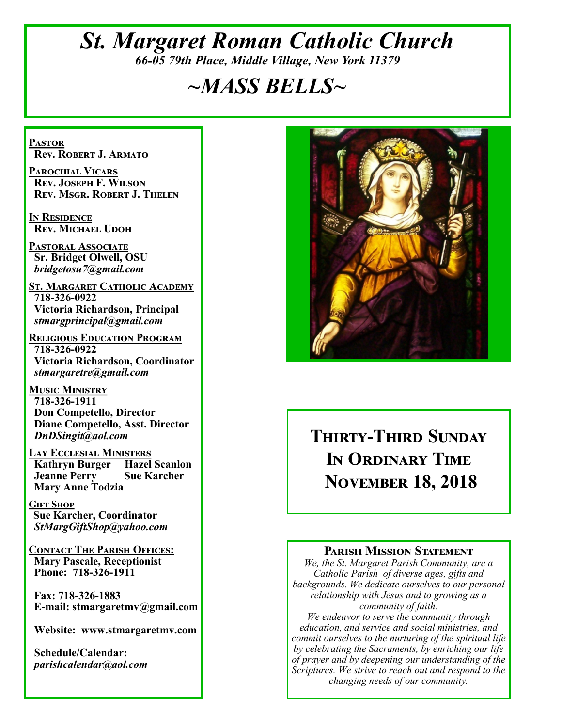# *St. Margaret Roman Catholic Church 66-05 79th Place, Middle Village, New York 11379*

# *~MASS BELLS~*

**Pastor Rev. Robert J. Armato**

**Parochial Vicars Rev. Joseph F. Wilson Rev. Msgr. Robert J. Thelen**

**In Residence Rev. Michael Udoh**

**Pastoral Associate Sr. Bridget Olwell, OSU**  *bridgetosu7@gmail.com*

**St. Margaret Catholic Academy 718-326-0922 Victoria Richardson, Principal**  *stmargprincipal@gmail.com*

**Religious Education Program 718-326-0922 Victoria Richardson, Coordinator** *stmargaretre@gmail.com*

**Music Ministry 718-326-1911 Don Competello, Director Diane Competello, Asst. Director** *DnDSingit@aol.com*

**LAY ECCLESIAL MINISTERS**<br>**Kathryn Burger Hazel Scanlon Kathryn Burger Jeanne Perry Sue Karcher Mary Anne Todzia**

**Gift Shop Sue Karcher, Coordinator** *StMargGiftShop@yahoo.com*

**Contact The Parish Offices: Mary Pascale, Receptionist Phone: 718-326-1911** 

 **Fax: 718-326-1883 E-mail: stmargaretmv@gmail.com**

 **Website: www.stmargaretmv.com**

 **Schedule/Calendar:** *parishcalendar@aol.com* 



**Thirty-Third Sunday In Ordinary Time November 18, 2018** 

#### **Parish Mission Statement**

*We, the St. Margaret Parish Community, are a Catholic Parish of diverse ages, gifts and backgrounds. We dedicate ourselves to our personal relationship with Jesus and to growing as a community of faith.*

*We endeavor to serve the community through education, and service and social ministries, and commit ourselves to the nurturing of the spiritual life by celebrating the Sacraments, by enriching our life of prayer and by deepening our understanding of the Scriptures. We strive to reach out and respond to the changing needs of our community.*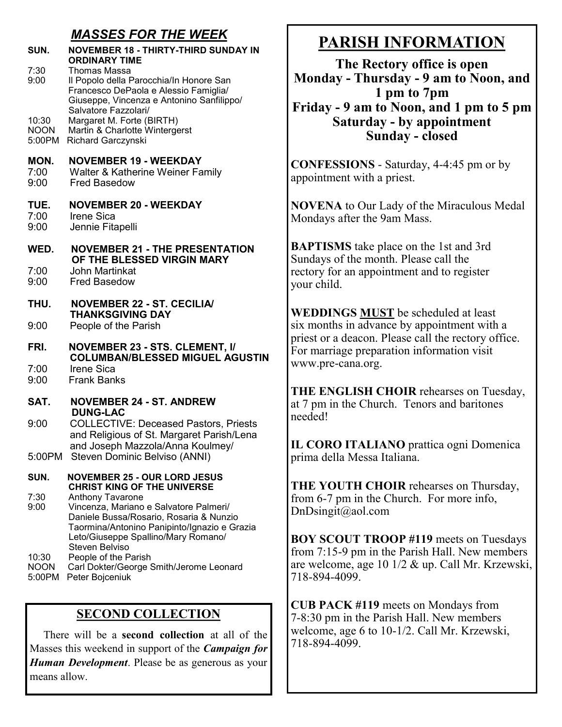### *MASSES FOR THE WEEK*

| SUN.                           | <b>NOVEMBER 18 - THIRTY-THIRD SUNDAY IN</b><br><b>ORDINARY TIME</b>                                                                                                                          |  |  |  |
|--------------------------------|----------------------------------------------------------------------------------------------------------------------------------------------------------------------------------------------|--|--|--|
| 7:30<br>9:00                   | Thomas Massa<br>Il Popolo della Parocchia/In Honore San<br>Francesco DePaola e Alessio Famiglia/<br>Giuseppe, Vincenza e Antonino Sanfilippo/<br>Salvatore Fazzolari/                        |  |  |  |
| 10:30<br><b>NOON</b><br>5:00PM | Margaret M. Forte (BIRTH)<br>Martin & Charlotte Wintergerst<br>Richard Garczynski                                                                                                            |  |  |  |
| MON.<br>7:00<br>9:00           | <b>NOVEMBER 19 - WEEKDAY</b><br>Walter & Katherine Weiner Family<br><b>Fred Basedow</b>                                                                                                      |  |  |  |
| TUE.<br>7:00<br>9:00           | <b>NOVEMBER 20 - WEEKDAY</b><br><b>Irene Sica</b><br>Jennie Fitapelli                                                                                                                        |  |  |  |
| WED.                           | <b>NOVEMBER 21 - THE PRESENTATION</b><br>OF THE BLESSED VIRGIN MARY                                                                                                                          |  |  |  |
| 7:00<br>9:00                   | John Martinkat<br><b>Fred Basedow</b>                                                                                                                                                        |  |  |  |
| THU.                           | <b>NOVEMBER 22 - ST. CECILIA/</b><br><b>THANKSGIVING DAY</b>                                                                                                                                 |  |  |  |
| 9:00                           | People of the Parish                                                                                                                                                                         |  |  |  |
| FRI.                           | <b>NOVEMBER 23 - STS. CLEMENT, I/</b><br><b>COLUMBAN/BLESSED MIGUEL AGUSTIN</b>                                                                                                              |  |  |  |
| 7:00<br>9:00                   | <b>Irene Sica</b><br><b>Frank Banks</b>                                                                                                                                                      |  |  |  |
| SAT.                           | <b>NOVEMBER 24 - ST. ANDREW</b><br><b>DUNG-LAC</b>                                                                                                                                           |  |  |  |
| 9:00                           | <b>COLLECTIVE: Deceased Pastors, Priests</b><br>and Religious of St. Margaret Parish/Lena<br>and Joseph Mazzola/Anna Koulmey/                                                                |  |  |  |
|                                | 5:00PM Steven Dominic Belviso (ANNI)                                                                                                                                                         |  |  |  |
| SUN.                           | <b>NOVEMBER 25 - OUR LORD JESUS</b><br><b>CHRIST KING OF THE UNIVERSE</b>                                                                                                                    |  |  |  |
| 7:30<br>9:00                   | Anthony Tavarone<br>Vincenza, Mariano e Salvatore Palmeri/<br>Daniele Bussa/Rosario, Rosaria & Nunzio<br>Taormina/Antonino Panipinto/Ignazio e Grazia<br>Leto/Giuseppe Spallino/Mary Romano/ |  |  |  |
| 10:30<br><b>NOON</b><br>5:00PM | Steven Belviso<br>People of the Parish<br>Carl Dokter/George Smith/Jerome Leonard<br>Peter Bojceniuk                                                                                         |  |  |  |
|                                |                                                                                                                                                                                              |  |  |  |

### **SECOND COLLECTION**

 There will be a **second collection** at all of the Masses this weekend in support of the *Campaign for Human Development*. Please be as generous as your means allow.

# **PARISH INFORMATION**

**The Rectory office is open Monday - Thursday - 9 am to Noon, and 1 pm to 7pm Friday - 9 am to Noon, and 1 pm to 5 pm Saturday - by appointment Sunday - closed**

**CONFESSIONS** - Saturday, 4-4:45 pm or by appointment with a priest.

**NOVENA** to Our Lady of the Miraculous Medal Mondays after the 9am Mass.

**BAPTISMS** take place on the 1st and 3rd Sundays of the month. Please call the rectory for an appointment and to register your child.

**WEDDINGS MUST** be scheduled at least six months in advance by appointment with a priest or a deacon. Please call the rectory office. For marriage preparation information visit www.pre-cana.org.

**THE ENGLISH CHOIR** rehearses on Tuesday, at 7 pm in the Church. Tenors and baritones needed!

**IL CORO ITALIANO** prattica ogni Domenica prima della Messa Italiana.

**THE YOUTH CHOIR** rehearses on Thursday, from 6-7 pm in the Church. For more info, DnDsingit@aol.com

**BOY SCOUT TROOP #119** meets on Tuesdays from 7:15-9 pm in the Parish Hall. New members are welcome, age 10 1/2 & up. Call Mr. Krzewski, 718-894-4099.

**CUB PACK #119** meets on Mondays from 7-8:30 pm in the Parish Hall. New members welcome, age 6 to 10-1/2. Call Mr. Krzewski, 718-894-4099.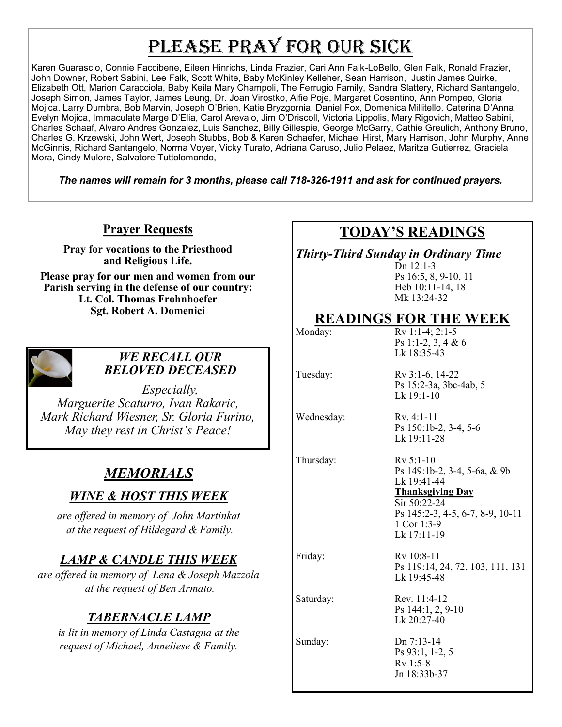# PLEASE PRAY FOR OUR SICK

Karen Guarascio, Connie Faccibene, Eileen Hinrichs, Linda Frazier, Cari Ann Falk-LoBello, Glen Falk, Ronald Frazier, John Downer, Robert Sabini, Lee Falk, Scott White, Baby McKinley Kelleher, Sean Harrison, Justin James Quirke, Elizabeth Ott, Marion Caracciola, Baby Keila Mary Champoli, The Ferrugio Family, Sandra Slattery, Richard Santangelo, Joseph Simon, James Taylor, James Leung, Dr. Joan Virostko, Alfie Poje, Margaret Cosentino, Ann Pompeo, Gloria Mojica, Larry Dumbra, Bob Marvin, Joseph O'Brien, Katie Bryzgornia, Daniel Fox, Domenica Millitello, Caterina D'Anna, Evelyn Mojica, Immaculate Marge D'Elia, Carol Arevalo, Jim O'Driscoll, Victoria Lippolis, Mary Rigovich, Matteo Sabini, Charles Schaaf, Alvaro Andres Gonzalez, Luis Sanchez, Billy Gillespie, George McGarry, Cathie Greulich, Anthony Bruno, Charles G. Krzewski, John Wert, Joseph Stubbs, Bob & Karen Schaefer, Michael Hirst, Mary Harrison, John Murphy, Anne McGinnis, Richard Santangelo, Norma Voyer, Vicky Turato, Adriana Caruso, Julio Pelaez, Maritza Gutierrez, Graciela Mora, Cindy Mulore, Salvatore Tuttolomondo,

*The names will remain for 3 months, please call 718-326-1911 and ask for continued prayers.*

#### **Prayer Requests**

**Pray for vocations to the Priesthood and Religious Life.** 

**Please pray for our men and women from our Parish serving in the defense of our country: Lt. Col. Thomas Frohnhoefer Sgt. Robert A. Domenici** 



#### *WE RECALL OUR BELOVED DECEASED*

*Especially, Marguerite Scaturro, Ivan Rakaric, Mark Richard Wiesner, Sr. Gloria Furino, May they rest in Christ's Peace!*

# *MEMORIALS*

### *WINE & HOST THIS WEEK*

*are offered in memory of John Martinkat at the request of Hildegard & Family.*

### *LAMP & CANDLE THIS WEEK*

*are offered in memory of Lena & Joseph Mazzola at the request of Ben Armato.*

# *TABERNACLE LAMP*

*is lit in memory of Linda Castagna at the request of Michael, Anneliese & Family.*

## **TODAY'S READINGS**

*Thirty-Third Sunday in Ordinary Time*

Dn 12:1-3 Ps 16:5, 8, 9-10, 11 Heb 10:11-14, 18 Mk 13:24-32

### **READINGS FOR THE WEEK**

Monday: Rv 1:1-4; 2:1-5 Ps 1:1-2, 3, 4 & 6 Lk 18:35-43

Lk 19:1-10

Tuesday: Rv 3:1-6, 14-22

Wednesday: Rv. 4:1-11

Ps 150:1b-2, 3-4, 5-6 Lk 19:11-28

Ps 15:2-3a, 3bc-4ab, 5

Thursday: Rv 5:1-10

Ps 149:1b-2, 3-4, 5-6a, & 9b Lk 19:41-44 **Thanksgiving Day** Sir 50:22-24

Ps 145:2-3, 4-5, 6-7, 8-9, 10-11 1 Cor 1:3-9 Lk 17:11-19

Friday: Rv 10:8-11

Ps 119:14, 24, 72, 103, 111, 131 Lk 19:45-48

Saturday: Rev. 11:4-12 Ps 144:1, 2, 9-10 Lk 20:27-40

Sunday: Dn 7:13-14 Ps 93:1, 1-2, 5 Rv 1:5-8 Jn 18:33b-37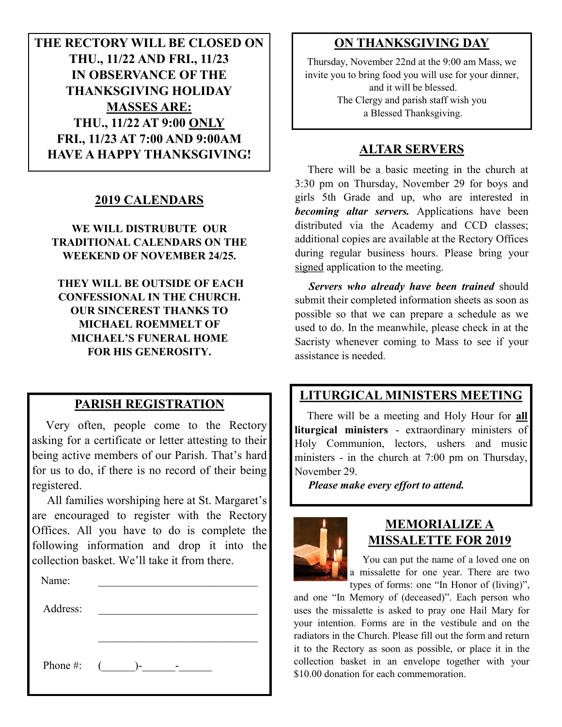**THE RECTORY WILL BE CLOSED ON THU., 11/22 AND FRI., 11/23 IN OBSERVANCE OF THE THANKSGIVING HOLIDAY MASSES ARE: THU., 11/22 AT 9:00 ONLY FRI., 11/23 AT 7:00 AND 9:00AM HAVE A HAPPY THANKSGIVING!**

#### **2019 CALENDARS**

**WE WILL DISTRUBUTE OUR TRADITIONAL CALENDARS ON THE WEEKEND OF NOVEMBER 24/25.**

**THEY WILL BE OUTSIDE OF EACH CONFESSIONAL IN THE CHURCH. OUR SINCEREST THANKS TO MICHAEL ROEMMELT OF MICHAEL'S FUNERAL HOME FOR HIS GENEROSITY.**

#### **PARISH REGISTRATION**

 Very often, people come to the Rectory asking for a certificate or letter attesting to their being active members of our Parish. That's hard for us to do, if there is no record of their being registered.

 All families worshiping here at St. Margaret's are encouraged to register with the Rectory Offices. All you have to do is complete the following information and drop it into the collection basket. We'll take it from there. Ĭ

| Name:              |  |  |
|--------------------|--|--|
| Address:           |  |  |
|                    |  |  |
|                    |  |  |
| Phone #: $($ $)$ - |  |  |

#### **ON THANKSGIVING DAY**

Thursday, November 22nd at the 9:00 am Mass, we invite you to bring food you will use for your dinner, and it will be blessed. The Clergy and parish staff wish you a Blessed Thanksgiving.

#### **ALTAR SERVERS**

 There will be a basic meeting in the church at 3:30 pm on Thursday, November 29 for boys and girls 5th Grade and up, who are interested in *becoming altar servers.* Applications have been distributed via the Academy and CCD classes; additional copies are available at the Rectory Offices during regular business hours. Please bring your signed application to the meeting.

 *Servers who already have been trained* should submit their completed information sheets as soon as possible so that we can prepare a schedule as we used to do. In the meanwhile, please check in at the Sacristy whenever coming to Mass to see if your assistance is needed.

#### **LITURGICAL MINISTERS MEETING**

 There will be a meeting and Holy Hour for **all liturgical ministers** - extraordinary ministers of Holy Communion, lectors, ushers and music ministers - in the church at 7:00 pm on Thursday, November 29.

*Please make every effort to attend.*



#### **MEMORIALIZE A MISSALETTE FOR 2019**

 You can put the name of a loved one on a missalette for one year. There are two types of forms: one "In Honor of (living)",

and one "In Memory of (deceased)". Each person who uses the missalette is asked to pray one Hail Mary for your intention. Forms are in the vestibule and on the radiators in the Church. Please fill out the form and return it to the Rectory as soon as possible, or place it in the collection basket in an envelope together with your \$10.00 donation for each commemoration.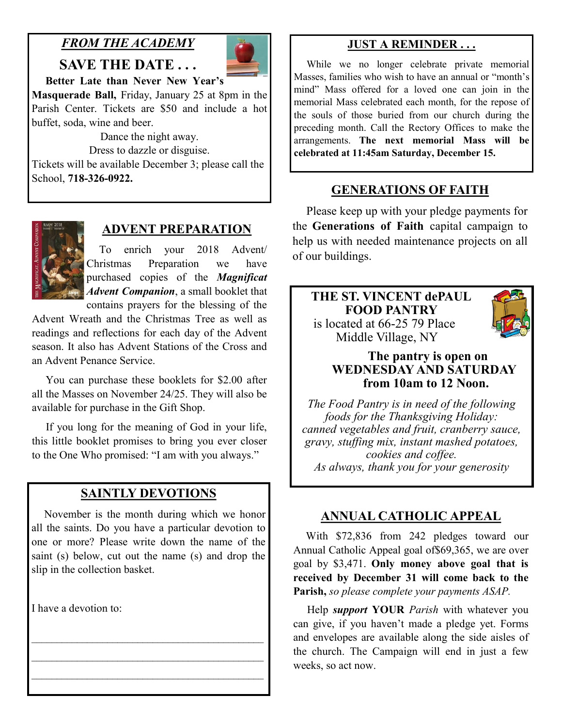### *FROM THE ACADEMY*

**SAVE THE DATE . . .** 



**Better Late than Never New Year's** 

**Masquerade Ball,** Friday, January 25 at 8pm in the Parish Center. Tickets are \$50 and include a hot buffet, soda, wine and beer.

Dance the night away. Dress to dazzle or disguise. Tickets will be available December 3; please call the School, **718-326-0922.**



#### **ADVENT PREPARATION**

 To enrich your 2018 Advent/ Christmas Preparation we have purchased copies of the *Magnificat Advent Companion*, a small booklet that contains prayers for the blessing of the

Advent Wreath and the Christmas Tree as well as readings and reflections for each day of the Advent season. It also has Advent Stations of the Cross and an Advent Penance Service.

 You can purchase these booklets for \$2.00 after all the Masses on November 24/25. They will also be available for purchase in the Gift Shop.

 If you long for the meaning of God in your life, this little booklet promises to bring you ever closer to the One Who promised: "I am with you always."

#### **SAINTLY DEVOTIONS**

 November is the month during which we honor all the saints. Do you have a particular devotion to one or more? Please write down the name of the saint (s) below, cut out the name (s) and drop the slip in the collection basket.

 $\mathcal{L}_\text{max}$  and the contract of the contract of the contract of the contract of the contract of the contract of the contract of the contract of the contract of the contract of the contract of the contract of the contrac  $\mathcal{L}_\text{max}$  and the contract of the contract of the contract of the contract of the contract of the contract of the contract of the contract of the contract of the contract of the contract of the contract of the contrac  $\mathcal{L}_\text{max}$  and the contract of the contract of the contract of the contract of the contract of the contract of the contract of the contract of the contract of the contract of the contract of the contract of the contrac

I have a devotion to:

#### **JUST A REMINDER . . .**

 While we no longer celebrate private memorial Masses, families who wish to have an annual or "month's mind" Mass offered for a loved one can join in the memorial Mass celebrated each month, for the repose of the souls of those buried from our church during the preceding month. Call the Rectory Offices to make the arrangements. **The next memorial Mass will be celebrated at 11:45am Saturday, December 15.** 

#### **GENERATIONS OF FAITH**

 Please keep up with your pledge payments for the **Generations of Faith** capital campaign to help us with needed maintenance projects on all of our buildings.

#### **THE ST. VINCENT dePAUL FOOD PANTRY** is located at 66-25 79 Place Middle Village, NY



#### **The pantry is open on WEDNESDAY AND SATURDAY from 10am to 12 Noon.**

*The Food Pantry is in need of the following foods for the Thanksgiving Holiday: canned vegetables and fruit, cranberry sauce, gravy, stuffing mix, instant mashed potatoes, cookies and coffee. As always, thank you for your generosity*

#### **ANNUAL CATHOLIC APPEAL**

 With \$72,836 from 242 pledges toward our Annual Catholic Appeal goal of\$69,365, we are over goal by \$3,471. **Only money above goal that is received by December 31 will come back to the Parish,** *so please complete your payments ASAP.*

 Help *support* **YOUR** *Parish* with whatever you can give, if you haven't made a pledge yet. Forms and envelopes are available along the side aisles of the church. The Campaign will end in just a few weeks, so act now.